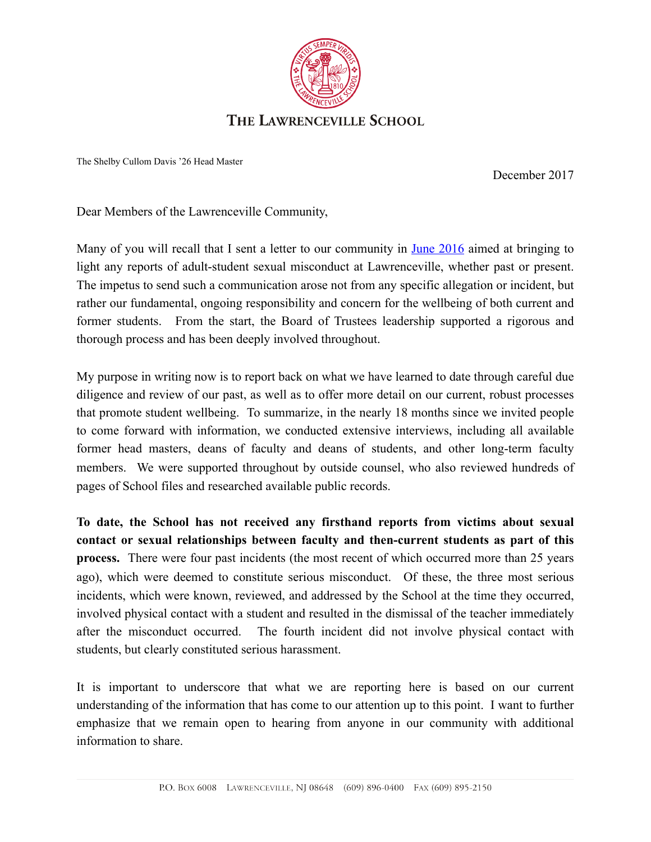

The Shelby Cullom Davis '26 Head Master

December 2017

Dear Members of the Lawrenceville Community,

Many of you will recall that I sent a letter to our community in <u>June 2016</u> aimed at bringing to light any reports of adult-student sexual misconduct at Lawrenceville, whether past or present. The impetus to send such a communication arose not from any specific allegation or incident, but rather our fundamental, ongoing responsibility and concern for the wellbeing of both current and former students. From the start, the Board of Trustees leadership supported a rigorous and thorough process and has been deeply involved throughout.

My purpose in writing now is to report back on what we have learned to date through careful due diligence and review of our past, as well as to offer more detail on our current, robust processes that promote student wellbeing. To summarize, in the nearly 18 months since we invited people to come forward with information, we conducted extensive interviews, including all available former head masters, deans of faculty and deans of students, and other long-term faculty members. We were supported throughout by outside counsel, who also reviewed hundreds of pages of School files and researched available public records.

**To date, the School has not received any firsthand reports from victims about sexual contact or sexual relationships between faculty and then-current students as part of this process.** There were four past incidents (the most recent of which occurred more than 25 years ago), which were deemed to constitute serious misconduct. Of these, the three most serious incidents, which were known, reviewed, and addressed by the School at the time they occurred, involved physical contact with a student and resulted in the dismissal of the teacher immediately after the misconduct occurred. The fourth incident did not involve physical contact with students, but clearly constituted serious harassment.

It is important to underscore that what we are reporting here is based on our current understanding of the information that has come to our attention up to this point. I want to further emphasize that we remain open to hearing from anyone in our community with additional information to share.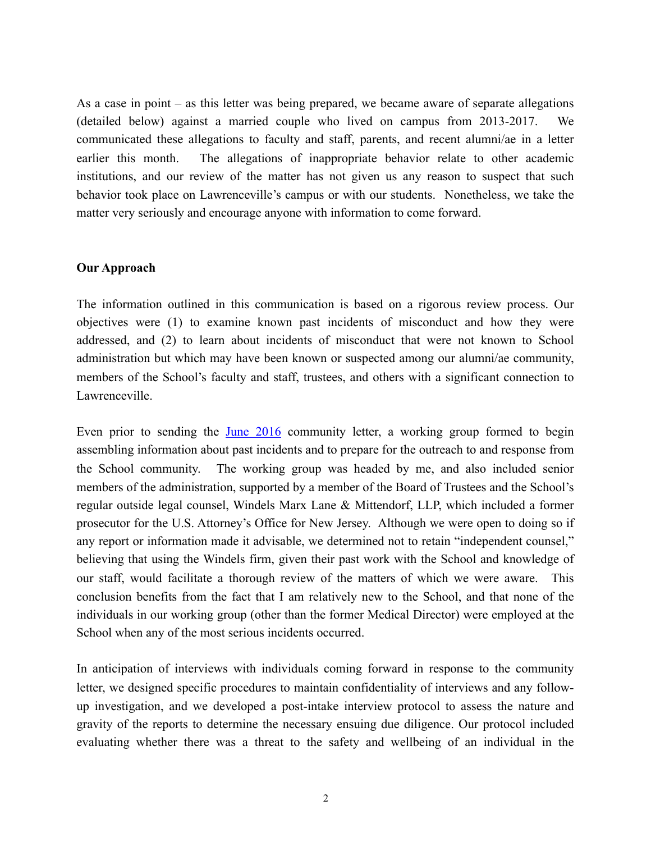As a case in point – as this letter was being prepared, we became aware of separate allegations (detailed below) against a married couple who lived on campus from 2013-2017. We communicated these allegations to faculty and staff, parents, and recent alumni/ae in a letter earlier this month. The allegations of inappropriate behavior relate to other academic institutions, and our review of the matter has not given us any reason to suspect that such behavior took place on Lawrenceville's campus or with our students. Nonetheless, we take the matter very seriously and encourage anyone with information to come forward.

## **Our Approach**

The information outlined in this communication is based on a rigorous review process. Our objectives were (1) to examine known past incidents of misconduct and how they were addressed, and (2) to learn about incidents of misconduct that were not known to School administration but which may have been known or suspected among our alumni/ae community, members of the School's faculty and staff, trustees, and others with a significant connection to Lawrenceville.

Even prior to sending the [June 2016](https://lawrenceville.myschoolapp.com/ftpimages/928/download/download_2635928.pdf) community letter, a working group formed to begin assembling information about past incidents and to prepare for the outreach to and response from the School community. The working group was headed by me, and also included senior members of the administration, supported by a member of the Board of Trustees and the School's regular outside legal counsel, Windels Marx Lane & Mittendorf, LLP, which included a former prosecutor for the U.S. Attorney's Office for New Jersey. Although we were open to doing so if any report or information made it advisable, we determined not to retain "independent counsel," believing that using the Windels firm, given their past work with the School and knowledge of our staff, would facilitate a thorough review of the matters of which we were aware. This conclusion benefits from the fact that I am relatively new to the School, and that none of the individuals in our working group (other than the former Medical Director) were employed at the School when any of the most serious incidents occurred.

In anticipation of interviews with individuals coming forward in response to the community letter, we designed specific procedures to maintain confidentiality of interviews and any followup investigation, and we developed a post-intake interview protocol to assess the nature and gravity of the reports to determine the necessary ensuing due diligence. Our protocol included evaluating whether there was a threat to the safety and wellbeing of an individual in the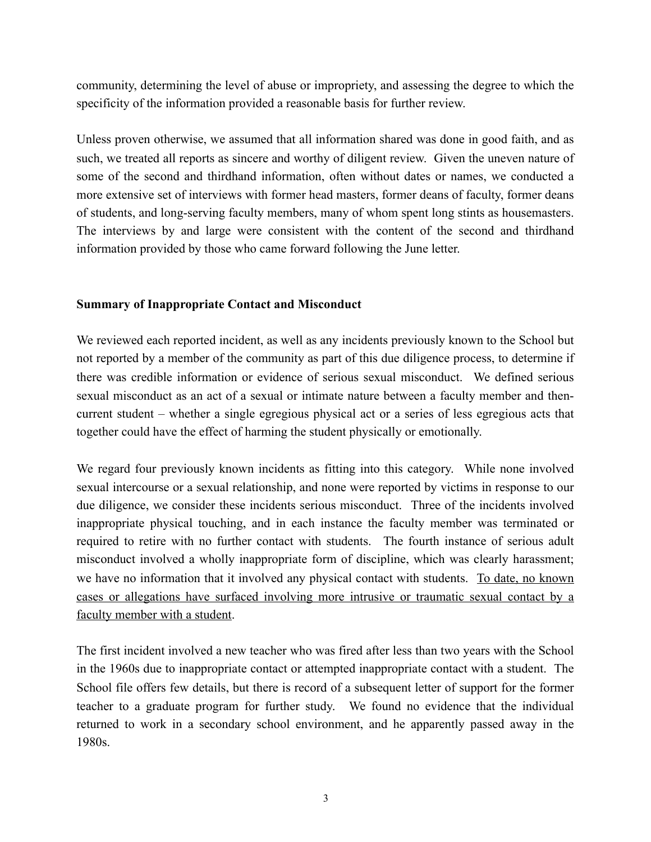community, determining the level of abuse or impropriety, and assessing the degree to which the specificity of the information provided a reasonable basis for further review.

Unless proven otherwise, we assumed that all information shared was done in good faith, and as such, we treated all reports as sincere and worthy of diligent review. Given the uneven nature of some of the second and thirdhand information, often without dates or names, we conducted a more extensive set of interviews with former head masters, former deans of faculty, former deans of students, and long-serving faculty members, many of whom spent long stints as housemasters. The interviews by and large were consistent with the content of the second and thirdhand information provided by those who came forward following the June letter.

## **Summary of Inappropriate Contact and Misconduct**

We reviewed each reported incident, as well as any incidents previously known to the School but not reported by a member of the community as part of this due diligence process, to determine if there was credible information or evidence of serious sexual misconduct. We defined serious sexual misconduct as an act of a sexual or intimate nature between a faculty member and thencurrent student – whether a single egregious physical act or a series of less egregious acts that together could have the effect of harming the student physically or emotionally.

We regard four previously known incidents as fitting into this category. While none involved sexual intercourse or a sexual relationship, and none were reported by victims in response to our due diligence, we consider these incidents serious misconduct. Three of the incidents involved inappropriate physical touching, and in each instance the faculty member was terminated or required to retire with no further contact with students. The fourth instance of serious adult misconduct involved a wholly inappropriate form of discipline, which was clearly harassment; we have no information that it involved any physical contact with students. To date, no known cases or allegations have surfaced involving more intrusive or traumatic sexual contact by a faculty member with a student.

The first incident involved a new teacher who was fired after less than two years with the School in the 1960s due to inappropriate contact or attempted inappropriate contact with a student. The School file offers few details, but there is record of a subsequent letter of support for the former teacher to a graduate program for further study. We found no evidence that the individual returned to work in a secondary school environment, and he apparently passed away in the 1980s.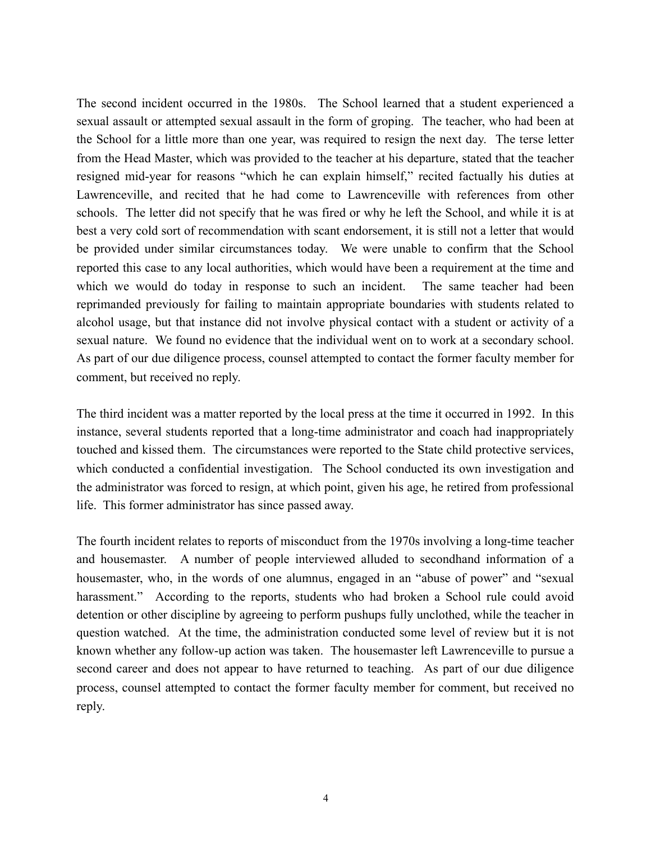The second incident occurred in the 1980s. The School learned that a student experienced a sexual assault or attempted sexual assault in the form of groping. The teacher, who had been at the School for a little more than one year, was required to resign the next day. The terse letter from the Head Master, which was provided to the teacher at his departure, stated that the teacher resigned mid-year for reasons "which he can explain himself," recited factually his duties at Lawrenceville, and recited that he had come to Lawrenceville with references from other schools. The letter did not specify that he was fired or why he left the School, and while it is at best a very cold sort of recommendation with scant endorsement, it is still not a letter that would be provided under similar circumstances today. We were unable to confirm that the School reported this case to any local authorities, which would have been a requirement at the time and which we would do today in response to such an incident. The same teacher had been reprimanded previously for failing to maintain appropriate boundaries with students related to alcohol usage, but that instance did not involve physical contact with a student or activity of a sexual nature. We found no evidence that the individual went on to work at a secondary school. As part of our due diligence process, counsel attempted to contact the former faculty member for comment, but received no reply.

The third incident was a matter reported by the local press at the time it occurred in 1992. In this instance, several students reported that a long-time administrator and coach had inappropriately touched and kissed them. The circumstances were reported to the State child protective services, which conducted a confidential investigation. The School conducted its own investigation and the administrator was forced to resign, at which point, given his age, he retired from professional life. This former administrator has since passed away.

The fourth incident relates to reports of misconduct from the 1970s involving a long-time teacher and housemaster. A number of people interviewed alluded to secondhand information of a housemaster, who, in the words of one alumnus, engaged in an "abuse of power" and "sexual harassment." According to the reports, students who had broken a School rule could avoid detention or other discipline by agreeing to perform pushups fully unclothed, while the teacher in question watched. At the time, the administration conducted some level of review but it is not known whether any follow-up action was taken. The housemaster left Lawrenceville to pursue a second career and does not appear to have returned to teaching. As part of our due diligence process, counsel attempted to contact the former faculty member for comment, but received no reply.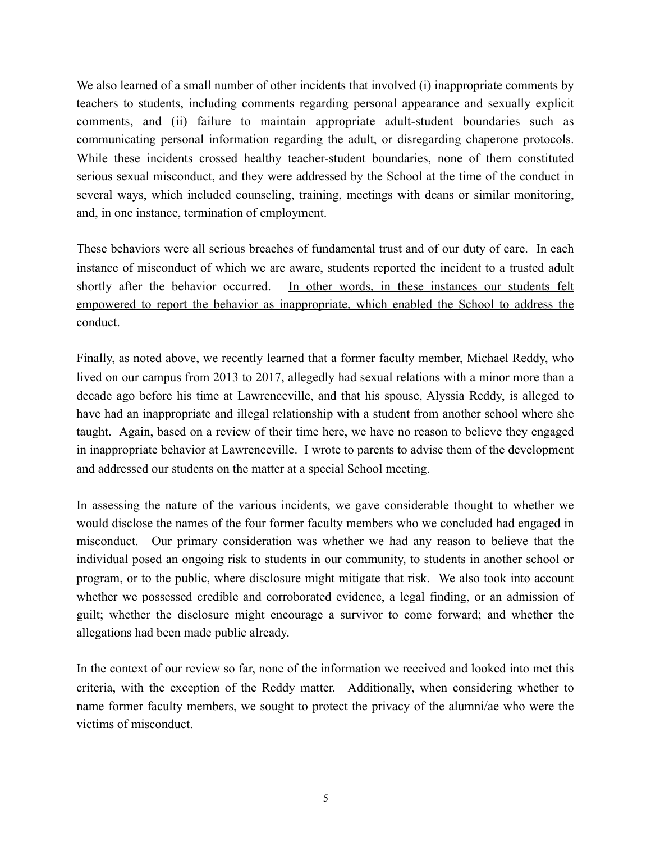We also learned of a small number of other incidents that involved (i) inappropriate comments by teachers to students, including comments regarding personal appearance and sexually explicit comments, and (ii) failure to maintain appropriate adult-student boundaries such as communicating personal information regarding the adult, or disregarding chaperone protocols. While these incidents crossed healthy teacher-student boundaries, none of them constituted serious sexual misconduct, and they were addressed by the School at the time of the conduct in several ways, which included counseling, training, meetings with deans or similar monitoring, and, in one instance, termination of employment.

These behaviors were all serious breaches of fundamental trust and of our duty of care. In each instance of misconduct of which we are aware, students reported the incident to a trusted adult shortly after the behavior occurred. In other words, in these instances our students felt empowered to report the behavior as inappropriate, which enabled the School to address the conduct.

Finally, as noted above, we recently learned that a former faculty member, Michael Reddy, who lived on our campus from 2013 to 2017, allegedly had sexual relations with a minor more than a decade ago before his time at Lawrenceville, and that his spouse, Alyssia Reddy, is alleged to have had an inappropriate and illegal relationship with a student from another school where she taught. Again, based on a review of their time here, we have no reason to believe they engaged in inappropriate behavior at Lawrenceville. I wrote to parents to advise them of the development and addressed our students on the matter at a special School meeting.

In assessing the nature of the various incidents, we gave considerable thought to whether we would disclose the names of the four former faculty members who we concluded had engaged in misconduct. Our primary consideration was whether we had any reason to believe that the individual posed an ongoing risk to students in our community, to students in another school or program, or to the public, where disclosure might mitigate that risk. We also took into account whether we possessed credible and corroborated evidence, a legal finding, or an admission of guilt; whether the disclosure might encourage a survivor to come forward; and whether the allegations had been made public already.

In the context of our review so far, none of the information we received and looked into met this criteria, with the exception of the Reddy matter. Additionally, when considering whether to name former faculty members, we sought to protect the privacy of the alumni/ae who were the victims of misconduct.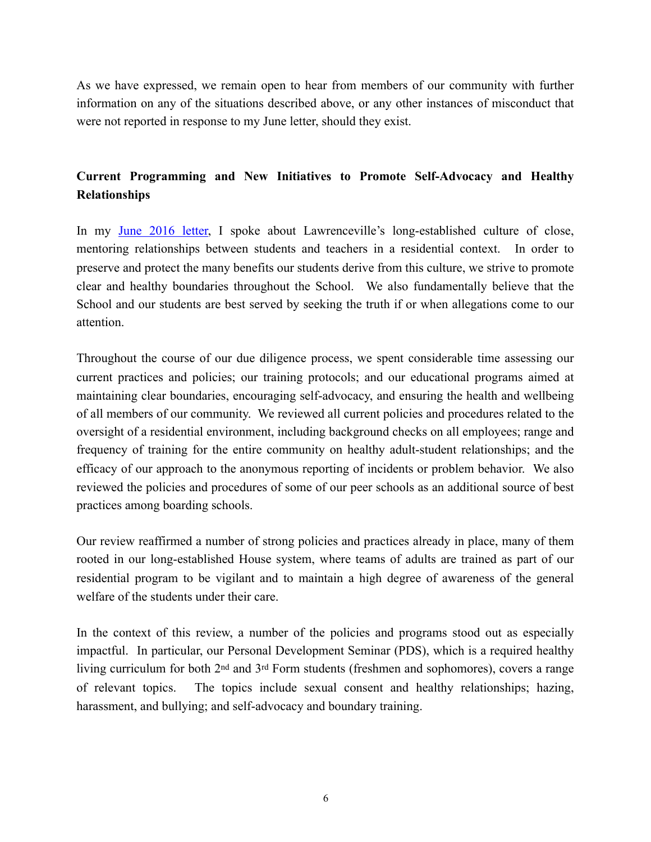As we have expressed, we remain open to hear from members of our community with further information on any of the situations described above, or any other instances of misconduct that were not reported in response to my June letter, should they exist.

## **Current Programming and New Initiatives to Promote Self-Advocacy and Healthy Relationships**

In my [June 2016 letter,](https://lawrenceville.myschoolapp.com/ftpimages/928/download/download_2635928.pdf) I spoke about Lawrenceville's long-established culture of close, mentoring relationships between students and teachers in a residential context. In order to preserve and protect the many benefits our students derive from this culture, we strive to promote clear and healthy boundaries throughout the School. We also fundamentally believe that the School and our students are best served by seeking the truth if or when allegations come to our attention.

Throughout the course of our due diligence process, we spent considerable time assessing our current practices and policies; our training protocols; and our educational programs aimed at maintaining clear boundaries, encouraging self-advocacy, and ensuring the health and wellbeing of all members of our community. We reviewed all current policies and procedures related to the oversight of a residential environment, including background checks on all employees; range and frequency of training for the entire community on healthy adult-student relationships; and the efficacy of our approach to the anonymous reporting of incidents or problem behavior. We also reviewed the policies and procedures of some of our peer schools as an additional source of best practices among boarding schools.

Our review reaffirmed a number of strong policies and practices already in place, many of them rooted in our long-established House system, where teams of adults are trained as part of our residential program to be vigilant and to maintain a high degree of awareness of the general welfare of the students under their care.

In the context of this review, a number of the policies and programs stood out as especially impactful. In particular, our Personal Development Seminar (PDS), which is a required healthy living curriculum for both 2nd and 3rd Form students (freshmen and sophomores), covers a range of relevant topics. The topics include sexual consent and healthy relationships; hazing, harassment, and bullying; and self-advocacy and boundary training.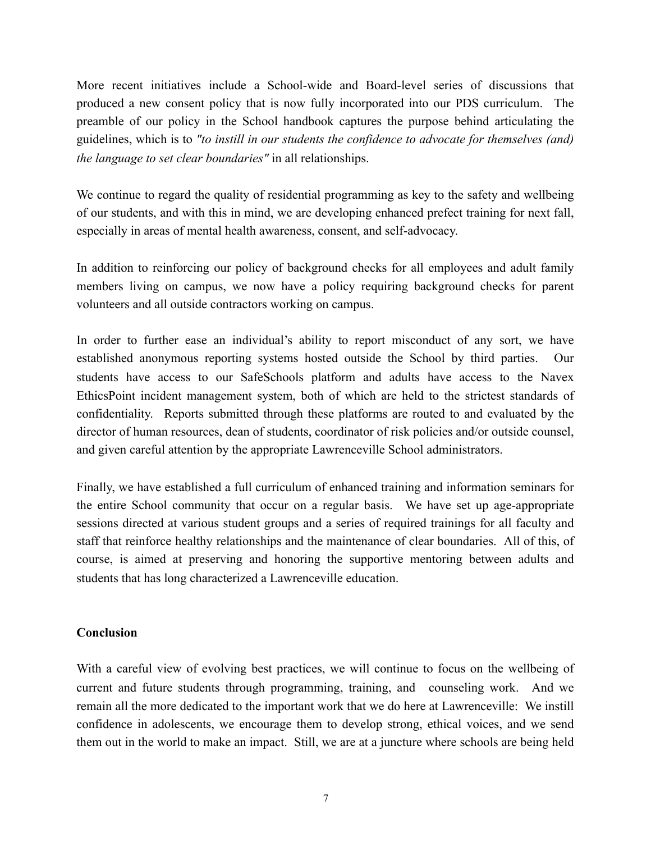More recent initiatives include a School-wide and Board-level series of discussions that produced a new consent policy that is now fully incorporated into our PDS curriculum. The preamble of our policy in the School handbook captures the purpose behind articulating the guidelines, which is to *"to instill in our students the confidence to advocate for themselves (and) the language to set clear boundaries"* in all relationships.

We continue to regard the quality of residential programming as key to the safety and wellbeing of our students, and with this in mind, we are developing enhanced prefect training for next fall, especially in areas of mental health awareness, consent, and self-advocacy.

In addition to reinforcing our policy of background checks for all employees and adult family members living on campus, we now have a policy requiring background checks for parent volunteers and all outside contractors working on campus.

In order to further ease an individual's ability to report misconduct of any sort, we have established anonymous reporting systems hosted outside the School by third parties. Our students have access to our SafeSchools platform and adults have access to the Navex EthicsPoint incident management system, both of which are held to the strictest standards of confidentiality. Reports submitted through these platforms are routed to and evaluated by the director of human resources, dean of students, coordinator of risk policies and/or outside counsel, and given careful attention by the appropriate Lawrenceville School administrators.

Finally, we have established a full curriculum of enhanced training and information seminars for the entire School community that occur on a regular basis. We have set up age-appropriate sessions directed at various student groups and a series of required trainings for all faculty and staff that reinforce healthy relationships and the maintenance of clear boundaries. All of this, of course, is aimed at preserving and honoring the supportive mentoring between adults and students that has long characterized a Lawrenceville education.

## **Conclusion**

With a careful view of evolving best practices, we will continue to focus on the wellbeing of current and future students through programming, training, and counseling work. And we remain all the more dedicated to the important work that we do here at Lawrenceville: We instill confidence in adolescents, we encourage them to develop strong, ethical voices, and we send them out in the world to make an impact. Still, we are at a juncture where schools are being held